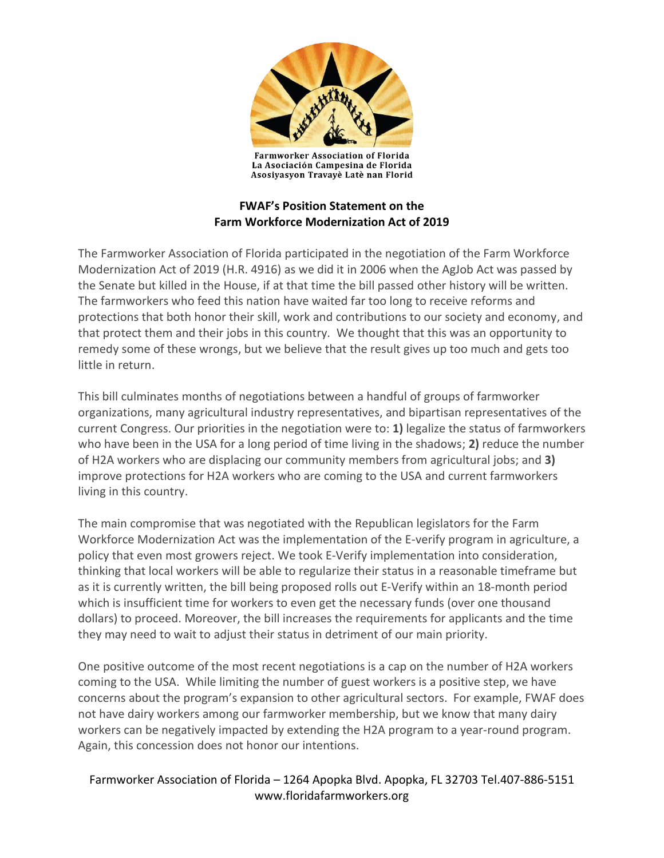

**Farmworker Association of Florida** La Asociación Campesina de Florida Asosiyasyon Travayè Latè nan Florid

## **FWAF's Position Statement on the Farm Workforce Modernization Act of 2019**

The Farmworker Association of Florida participated in the negotiation of the Farm Workforce Modernization Act of 2019 (H.R. 4916) as we did it in 2006 when the AgJob Act was passed by the Senate but killed in the House, if at that time the bill passed other history will be written. The farmworkers who feed this nation have waited far too long to receive reforms and protections that both honor their skill, work and contributions to our society and economy, and that protect them and their jobs in this country. We thought that this was an opportunity to remedy some of these wrongs, but we believe that the result gives up too much and gets too little in return.

This bill culminates months of negotiations between a handful of groups of farmworker organizations, many agricultural industry representatives, and bipartisan representatives of the current Congress. Our priorities in the negotiation were to: **1)** legalize the status of farmworkers who have been in the USA for a long period of time living in the shadows; **2)** reduce the number of H2A workers who are displacing our community members from agricultural jobs; and **3)** improve protections for H2A workers who are coming to the USA and current farmworkers living in this country.

The main compromise that was negotiated with the Republican legislators for the Farm Workforce Modernization Act was the implementation of the E-verify program in agriculture, a policy that even most growers reject. We took E-Verify implementation into consideration, thinking that local workers will be able to regularize their status in a reasonable timeframe but as it is currently written, the bill being proposed rolls out E-Verify within an 18-month period which is insufficient time for workers to even get the necessary funds (over one thousand dollars) to proceed. Moreover, the bill increases the requirements for applicants and the time they may need to wait to adjust their status in detriment of our main priority.

One positive outcome of the most recent negotiations is a cap on the number of H2A workers coming to the USA. While limiting the number of guest workers is a positive step, we have concerns about the program's expansion to other agricultural sectors. For example, FWAF does not have dairy workers among our farmworker membership, but we know that many dairy workers can be negatively impacted by extending the H2A program to a year-round program. Again, this concession does not honor our intentions.

## Farmworker Association of Florida – 1264 Apopka Blvd. Apopka, FL 32703 Tel.407-886-5151 www.floridafarmworkers.org